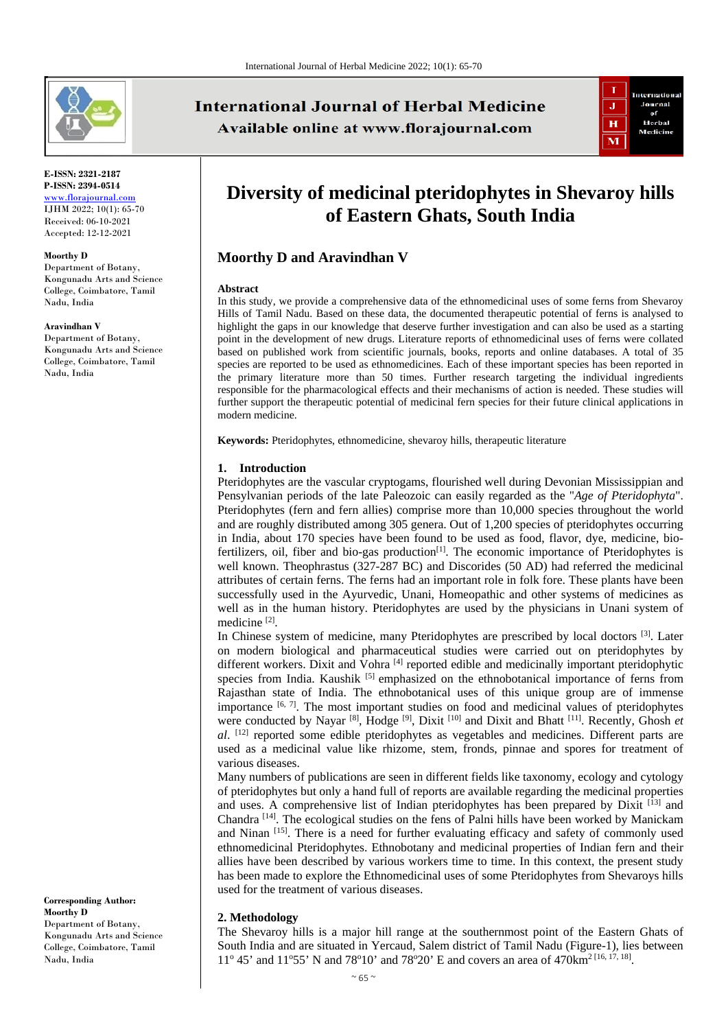

**E-ISSN: 2321-2187 P-ISSN: 2394-0514** [www.florajournal.com](file://Server/test/Flora%20Journal/Issue/8%20vol/2%20issue/www.florajournal.com) IJHM 2022; 10(1): 65-70 Received: 06-10-2021 Accepted: 12-12-2021

#### **Moorthy D**

Department of Botany, Kongunadu Arts and Science College, Coimbatore, Tamil Nadu, India

#### **Aravindhan V**

Department of Botany, Kongunadu Arts and Science College, Coimbatore, Tamil Nadu, India

**Corresponding Author: Moorthy D** Department of Botany, Kongunadu Arts and Science College, Coimbatore, Tamil Nadu, India

# **International Journal of Herbal Medicine** Available online at www.florajournal.com



# **Diversity of medicinal pteridophytes in Shevaroy hills of Eastern Ghats, South India**

## **Moorthy D and Aravindhan V**

#### **Abstract**

In this study, we provide a comprehensive data of the ethnomedicinal uses of some ferns from Shevaroy Hills of Tamil Nadu. Based on these data, the documented therapeutic potential of ferns is analysed to highlight the gaps in our knowledge that deserve further investigation and can also be used as a starting point in the development of new drugs. Literature reports of ethnomedicinal uses of ferns were collated based on published work from scientific journals, books, reports and online databases. A total of 35 species are reported to be used as ethnomedicines. Each of these important species has been reported in the primary literature more than 50 times. Further research targeting the individual ingredients responsible for the pharmacological effects and their mechanisms of action is needed. These studies will further support the therapeutic potential of medicinal fern species for their future clinical applications in modern medicine.

**Keywords:** Pteridophytes, ethnomedicine, shevaroy hills, therapeutic literature

#### **1. Introduction**

Pteridophytes are the vascular cryptogams, flourished well during Devonian Mississippian and Pensylvanian periods of the late Paleozoic can easily regarded as the "*Age of Pteridophyta*". Pteridophytes (fern and fern allies) comprise more than 10,000 species throughout the world and are roughly distributed among 305 genera. Out of 1,200 species of pteridophytes occurring in India, about 170 species have been found to be used as food, flavor, dye, medicine, biofertilizers, oil, fiber and bio-gas production[1]. The economic importance of Pteridophytes is well known. Theophrastus (327-287 BC) and Discorides (50 AD) had referred the medicinal attributes of certain ferns. The ferns had an important role in folk fore. These plants have been successfully used in the Ayurvedic, Unani, Homeopathic and other systems of medicines as well as in the human history. Pteridophytes are used by the physicians in Unani system of medicine [2].

In Chinese system of medicine, many Pteridophytes are prescribed by local doctors <sup>[3]</sup>. Later on modern biological and pharmaceutical studies were carried out on pteridophytes by different workers. Dixit and Vohra<sup>[4]</sup> reported edible and medicinally important pteridophytic species from India. Kaushik  $[5]$  emphasized on the ethnobotanical importance of ferns from Rajasthan state of India. The ethnobotanical uses of this unique group are of immense importance  $[6, 7]$ . The most important studies on food and medicinal values of pteridophytes were conducted by Nayar<sup> [8]</sup>, Hodge<sup>[9]</sup>, Dixit<sup>[10]</sup> and Dixit and Bhatt<sup>[11]</sup>. Recently, Ghosh *et al.* [12] reported some edible pteridophytes as vegetables and medicines. Different parts are used as a medicinal value like rhizome, stem, fronds, pinnae and spores for treatment of various diseases.

Many numbers of publications are seen in different fields like taxonomy, ecology and cytology of pteridophytes but only a hand full of reports are available regarding the medicinal properties and uses. A comprehensive list of Indian pteridophytes has been prepared by Dixit [13] and Chandra [14]. The ecological studies on the fens of Palni hills have been worked by Manickam and Ninan  $[15]$ . There is a need for further evaluating efficacy and safety of commonly used ethnomedicinal Pteridophytes. Ethnobotany and medicinal properties of Indian fern and their allies have been described by various workers time to time. In this context, the present study has been made to explore the Ethnomedicinal uses of some Pteridophytes from Shevaroys hills used for the treatment of various diseases.

#### **2. Methodology**

The Shevaroy hills is a major hill range at the southernmost point of the Eastern Ghats of South India and are situated in Yercaud, Salem district of Tamil Nadu (Figure-1), lies between 11<sup>o</sup> 45' and 11<sup>o</sup>55' N and 78<sup>o</sup>10' and 78<sup>o</sup>20' E and covers an area of 470km<sup>2 [16, 17, 18]</sup>.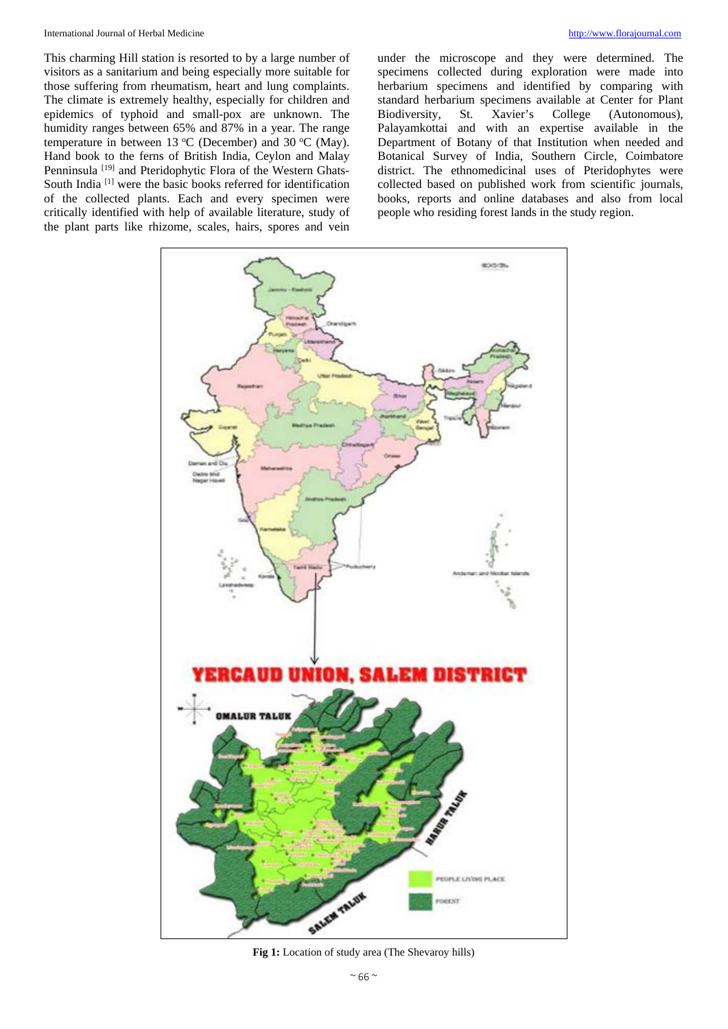#### International Journal of Herbal Medicine [http://www.florajournal.com](http://www.florajournal.com/)

This charming Hill station is resorted to by a large number of visitors as a sanitarium and being especially more suitable for those suffering from rheumatism, heart and lung complaints. The climate is extremely healthy, especially for children and epidemics of typhoid and small-pox are unknown. The humidity ranges between 65% and 87% in a year. The range temperature in between 13 °C (December) and 30 °C (May). Hand book to the ferns of British India, Ceylon and Malay Penninsula<sup>[19]</sup> and Pteridophytic Flora of the Western Ghats-South India<sup>[1]</sup> were the basic books referred for identification of the collected plants. Each and every specimen were critically identified with help of available literature, study of the plant parts like rhizome, scales, hairs, spores and vein under the microscope and they were determined. The specimens collected during exploration were made into herbarium specimens and identified by comparing with standard herbarium specimens available at Center for Plant Biodiversity, St. Xavier's College (Autonomous), Palayamkottai and with an expertise available in the Department of Botany of that Institution when needed and Botanical Survey of India, Southern Circle, Coimbatore district. The ethnomedicinal uses of Pteridophytes were collected based on published work from scientific journals, books, reports and online databases and also from local people who residing forest lands in the study region.



**Fig 1:** Location of study area (The Shevaroy hills)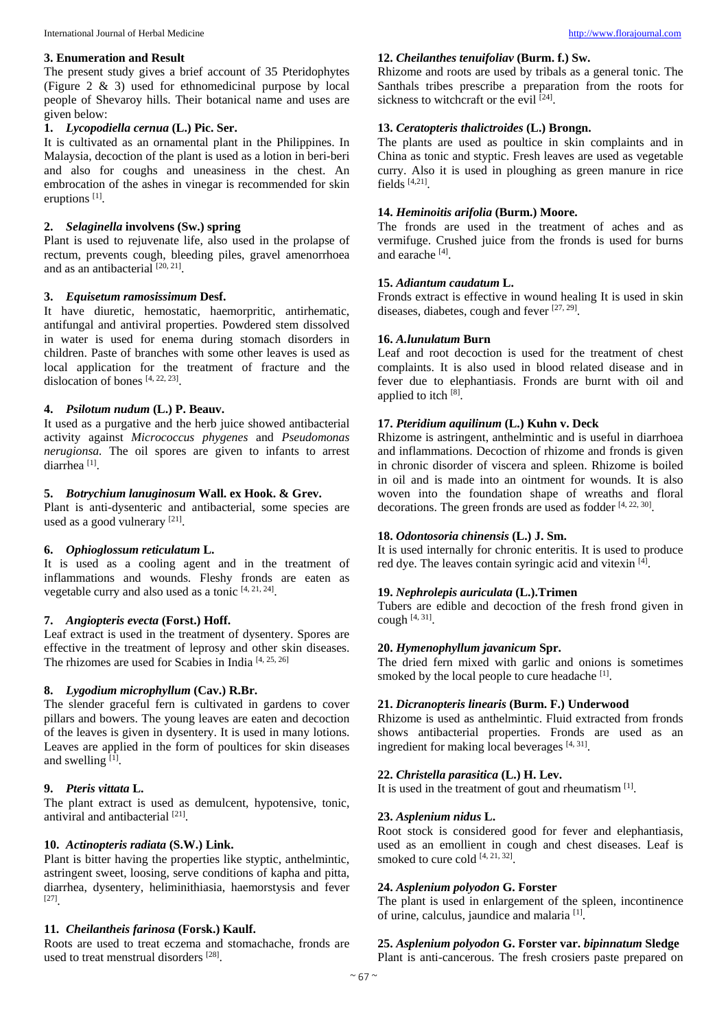**3. Enumeration and Result**  The present study gives a brief account of 35 Pteridophytes (Figure 2 & 3) used for ethnomedicinal purpose by local people of Shevaroy hills. Their botanical name and uses are given below:

#### **1.** *Lycopodiella cernua* **(L.) Pic. Ser.**

It is cultivated as an ornamental plant in the Philippines. In Malaysia, decoction of the plant is used as a lotion in beri-beri and also for coughs and uneasiness in the chest. An embrocation of the ashes in vinegar is recommended for skin eruptions [1].

#### **2.** *Selaginella* **involvens (Sw.) spring**

Plant is used to rejuvenate life, also used in the prolapse of rectum, prevents cough, bleeding piles, gravel amenorrhoea and as an antibacterial  $[20, 21]$ .

#### **3.** *Equisetum ramosissimum* **Desf.**

It have diuretic, hemostatic, haemorpritic, antirhematic, antifungal and antiviral properties. Powdered stem dissolved in water is used for enema during stomach disorders in children. Paste of branches with some other leaves is used as local application for the treatment of fracture and the dislocation of bones [4, 22, 23].

### **4.** *Psilotum nudum* **(L.) P. Beauv.**

It used as a purgative and the herb juice showed antibacterial activity against *Micrococcus phygenes* and *Pseudomonas nerugionsa.* The oil spores are given to infants to arrest diarrhea [1].

#### **5.** *Botrychium lanuginosum* **Wall. ex Hook. & Grev.**

Plant is anti-dysenteric and antibacterial, some species are used as a good vulnerary [21].

#### **6.** *Ophioglossum reticulatum* **L.**

It is used as a cooling agent and in the treatment of inflammations and wounds. Fleshy fronds are eaten as vegetable curry and also used as a tonic [4, 21, 24].

#### **7.** *Angiopteris evecta* **(Forst.) Hoff.**

Leaf extract is used in the treatment of dysentery. Spores are effective in the treatment of leprosy and other skin diseases. The rhizomes are used for Scabies in India [4, 25, 26]

#### **8.** *Lygodium microphyllum* **(Cav.) R.Br.**

The slender graceful fern is cultivated in gardens to cover pillars and bowers. The young leaves are eaten and decoction of the leaves is given in dysentery. It is used in many lotions. Leaves are applied in the form of poultices for skin diseases and swelling [1].

#### **9.** *Pteris vittata* **L.**

The plant extract is used as demulcent, hypotensive, tonic, antiviral and antibacterial [21].

#### **10.** *Actinopteris radiata* **(S.W.) Link.**

Plant is bitter having the properties like styptic, anthelmintic, astringent sweet, loosing, serve conditions of kapha and pitta, diarrhea, dysentery, heliminithiasia, haemorstysis and fever [27].

#### **11.** *Cheilantheis farinosa* **(Forsk.) Kaulf.**

Roots are used to treat eczema and stomachache, fronds are used to treat menstrual disorders <sup>[28]</sup>.

#### **12.** *Cheilanthes tenuifoliav* **(Burm. f.) Sw.**

Rhizome and roots are used by tribals as a general tonic. The Santhals tribes prescribe a preparation from the roots for sickness to witchcraft or the evil  $[24]$ .

#### **13.** *Ceratopteris thalictroides* **(L.) Brongn.**

The plants are used as poultice in skin complaints and in China as tonic and styptic. Fresh leaves are used as vegetable curry. Also it is used in ploughing as green manure in rice fields [4,21].

#### **14.** *Heminoitis arifolia* **(Burm.) Moore.**

The fronds are used in the treatment of aches and as vermifuge. Crushed juice from the fronds is used for burns and earache [4].

#### **15.** *Adiantum caudatum* **L.**

Fronds extract is effective in wound healing It is used in skin diseases, diabetes, cough and fever [27, 29].

#### **16.** *A.lunulatum* **Burn**

Leaf and root decoction is used for the treatment of chest complaints. It is also used in blood related disease and in fever due to elephantiasis. Fronds are burnt with oil and applied to itch [8].

#### **17.** *Pteridium aquilinum* **(L.) Kuhn v. Deck**

Rhizome is astringent, anthelmintic and is useful in diarrhoea and inflammations. Decoction of rhizome and fronds is given in chronic disorder of viscera and spleen. Rhizome is boiled in oil and is made into an ointment for wounds. It is also woven into the foundation shape of wreaths and floral decorations. The green fronds are used as fodder [4, 22, 30].

#### **18.** *Odontosoria chinensis* **(L.) J. Sm.**

It is used internally for chronic enteritis. It is used to produce red dye. The leaves contain syringic acid and vitexin [4].

#### **19.** *Nephrolepis auriculata* **(L.).Trimen**

Tubers are edible and decoction of the fresh frond given in cough  $[4, 31]$ .

#### **20.** *Hymenophyllum javanicum* **Spr.**

The dried fern mixed with garlic and onions is sometimes smoked by the local people to cure headache [1].

#### **21.** *Dicranopteris linearis* **(Burm. F.) Underwood**

Rhizome is used as anthelmintic. Fluid extracted from fronds shows antibacterial properties. Fronds are used as an ingredient for making local beverages [4, 31].

#### **22.** *Christella parasitica* **(L.) H. Lev.**

It is used in the treatment of gout and rheumatism [1].

#### **23.** *Asplenium nidus* **L.**

Root stock is considered good for fever and elephantiasis, used as an emollient in cough and chest diseases. Leaf is smoked to cure cold  $[4, 21, 32]$ .

#### **24.** *Asplenium polyodon* **G. Forster**

The plant is used in enlargement of the spleen, incontinence of urine, calculus, jaundice and malaria [1].

#### **25.** *Asplenium polyodon* **G. Forster var.** *bipinnatum* **Sledge**

Plant is anti-cancerous. The fresh crosiers paste prepared on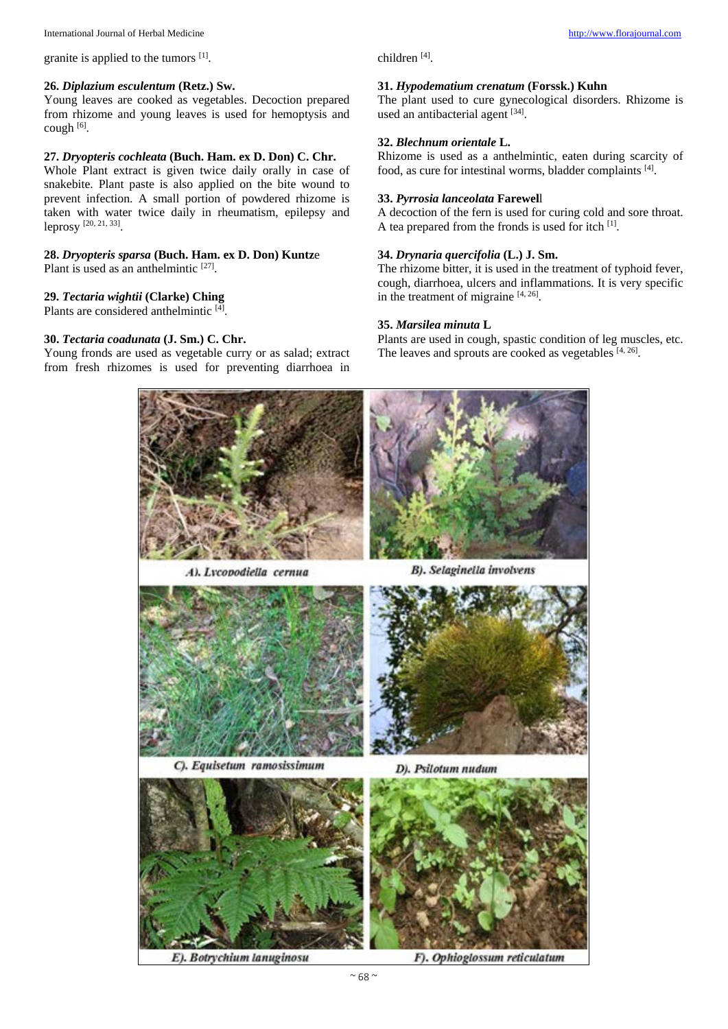granite is applied to the tumors [1].

#### **26.** *Diplazium esculentum* **(Retz.) Sw.**

Young leaves are cooked as vegetables. Decoction prepared from rhizome and young leaves is used for hemoptysis and cough [6].

#### **27.** *Dryopteris cochleata* **(Buch. Ham. ex D. Don) C. Chr.**

Whole Plant extract is given twice daily orally in case of snakebite. Plant paste is also applied on the bite wound to prevent infection. A small portion of powdered rhizome is taken with water twice daily in rheumatism, epilepsy and leprosy [20, 21, 33].

# **28.** *Dryopteris sparsa* **(Buch. Ham. ex D. Don) Kuntz**e

Plant is used as an anthelmintic [27].

#### **29.** *Tectaria wightii* **(Clarke) Ching**

Plants are considered anthelmintic [4].

#### **30.** *Tectaria coadunata* **(J. Sm.) C. Chr.**

Young fronds are used as vegetable curry or as salad; extract from fresh rhizomes is used for preventing diarrhoea in

#### children [4].

#### **31.** *Hypodematium crenatum* **(Forssk.) Kuhn**

The plant used to cure gynecological disorders. Rhizome is used an antibacterial agent [34].

#### **32.** *Blechnum orientale* **L.**

Rhizome is used as a anthelmintic, eaten during scarcity of food, as cure for intestinal worms, bladder complaints [4].

#### **33.** *Pyrrosia lanceolata* **Farewel**l

A decoction of the fern is used for curing cold and sore throat. A tea prepared from the fronds is used for itch [1].

#### **34.** *Drynaria quercifolia* **(L.) J. Sm.**

The rhizome bitter, it is used in the treatment of typhoid fever, cough, diarrhoea, ulcers and inflammations. It is very specific in the treatment of migraine  $[4, 26]$ .

#### **35.** *Marsilea minuta* **L**

Plants are used in cough, spastic condition of leg muscles, etc. The leaves and sprouts are cooked as vegetables [4, 26].

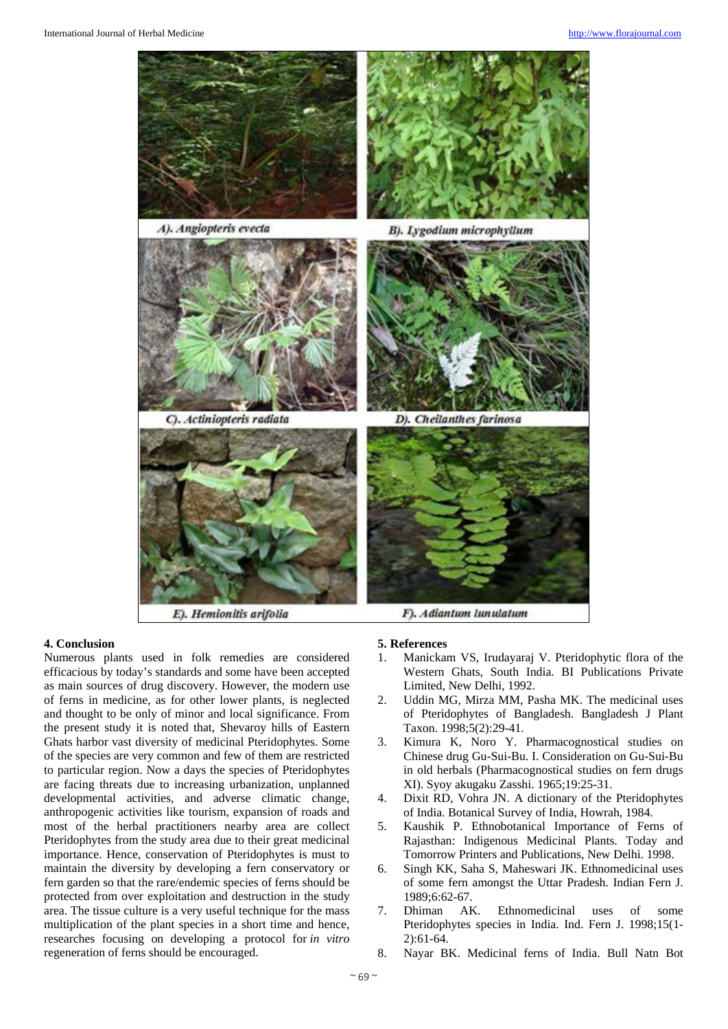

E). Hemionitis arifolia

#### F). Adiantum lunulatum

#### **4. Conclusion**

Numerous plants used in folk remedies are considered efficacious by today's standards and some have been accepted as main sources of drug discovery. However, the modern use of ferns in medicine, as for other lower plants, is neglected and thought to be only of minor and local significance. From the present study it is noted that, Shevaroy hills of Eastern Ghats harbor vast diversity of medicinal Pteridophytes. Some of the species are very common and few of them are restricted to particular region. Now a days the species of Pteridophytes are facing threats due to increasing urbanization, unplanned developmental activities, and adverse climatic change, anthropogenic activities like tourism, expansion of roads and most of the herbal practitioners nearby area are collect Pteridophytes from the study area due to their great medicinal importance. Hence, conservation of Pteridophytes is must to maintain the diversity by developing a fern conservatory or fern garden so that the rare/endemic species of ferns should be protected from over exploitation and destruction in the study area. The tissue culture is a very useful technique for the mass multiplication of the plant species in a short time and hence, researches focusing on developing a protocol for *in vitro*  regeneration of ferns should be encouraged.

#### **5. References**

- 1. Manickam VS, Irudayaraj V. Pteridophytic flora of the Western Ghats, South India. BI Publications Private Limited, New Delhi, 1992.
- 2. Uddin MG, Mirza MM, Pasha MK. The medicinal uses of Pteridophytes of Bangladesh. Bangladesh J Plant Taxon. 1998;5(2):29-41.
- 3. Kimura K, Noro Y. Pharmacognostical studies on Chinese drug Gu-Sui-Bu. I. Consideration on Gu-Sui-Bu in old herbals (Pharmacognostical studies on fern drugs XI). Syoy akugaku Zasshi. 1965;19:25-31.
- 4. Dixit RD, Vohra JN. A dictionary of the Pteridophytes of India. Botanical Survey of India, Howrah, 1984.
- 5. Kaushik P. Ethnobotanical Importance of Ferns of Rajasthan: Indigenous Medicinal Plants. Today and Tomorrow Printers and Publications, New Delhi. 1998.
- 6. Singh KK, Saha S, Maheswari JK. Ethnomedicinal uses of some fern amongst the Uttar Pradesh. Indian Fern J. 1989;6:62-67.<br>Dhiman AK.
- 7. Dhiman AK. Ethnomedicinal uses of some Pteridophytes species in India. Ind. Fern J. 1998;15(1- 2):61-64.
- 8. Nayar BK. Medicinal ferns of India. Bull Natn Bot